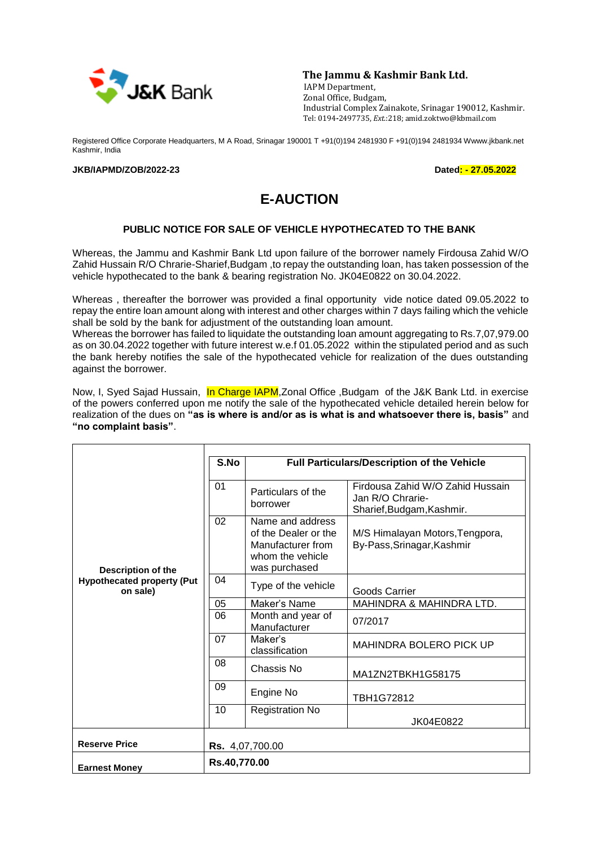

**The Jammu & Kashmir Bank Ltd.**

 IAPM Department, Zonal Office, Budgam, Industrial Complex Zainakote, Srinagar 190012, Kashmir. Tel: 0194**-**2497735, *Ext*.:218; amid.zoktwo@kbmail.com

Registered Office Corporate Headquarters, M A Road, Srinagar 190001 T +91(0)194 2481930 F +91(0)194 2481934 Wwww.jkbank.net Kashmir, India

## **JKB/IAPMD/ZOB/2022-23 Dated: - 27.05.2022**

## **E-AUCTION**

## **PUBLIC NOTICE FOR SALE OF VEHICLE HYPOTHECATED TO THE BANK**

Whereas, the Jammu and Kashmir Bank Ltd upon failure of the borrower namely Firdousa Zahid W/O Zahid Hussain R/O Chrarie-Sharief,Budgam ,to repay the outstanding loan, has taken possession of the vehicle hypothecated to the bank & bearing registration No. JK04E0822 on 30.04.2022.

Whereas , thereafter the borrower was provided a final opportunity vide notice dated 09.05.2022 to repay the entire loan amount along with interest and other charges within 7 days failing which the vehicle shall be sold by the bank for adjustment of the outstanding loan amount.

Whereas the borrower has failed to liquidate the outstanding loan amount aggregating to Rs.7,07,979.00 as on 30.04.2022 together with future interest w.e.f 01.05.2022 within the stipulated period and as such the bank hereby notifies the sale of the hypothecated vehicle for realization of the dues outstanding against the borrower.

Now, I, Syed Sajad Hussain, In Charge IAPM, Zonal Office , Budgam of the J&K Bank Ltd. in exercise of the powers conferred upon me notify the sale of the hypothecated vehicle detailed herein below for realization of the dues on **"as is where is and/or as is what is and whatsoever there is, basis"** and **"no complaint basis"**.

| Description of the<br><b>Hypothecated property (Put</b><br>on sale) | S.No                   | <b>Full Particulars/Description of the Vehicle</b>                                                 |                                                                                   |  |
|---------------------------------------------------------------------|------------------------|----------------------------------------------------------------------------------------------------|-----------------------------------------------------------------------------------|--|
|                                                                     | 01                     | Particulars of the<br>borrower                                                                     | Firdousa Zahid W/O Zahid Hussain<br>Jan R/O Chrarie-<br>Sharief, Budgam, Kashmir. |  |
|                                                                     | 02                     | Name and address<br>of the Dealer or the<br>Manufacturer from<br>whom the vehicle<br>was purchased | M/S Himalayan Motors, Tengpora,<br>By-Pass, Srinagar, Kashmir                     |  |
|                                                                     | 04                     | Type of the vehicle                                                                                | Goods Carrier                                                                     |  |
|                                                                     | 05                     | Maker's Name                                                                                       | MAHINDRA & MAHINDRA LTD.                                                          |  |
|                                                                     | 06                     | Month and year of<br>Manufacturer                                                                  | 07/2017                                                                           |  |
|                                                                     | 07                     | Maker's<br>classification                                                                          | MAHINDRA BOLERO PICK UP                                                           |  |
|                                                                     | 08                     | Chassis No                                                                                         | MA1ZN2TBKH1G58175                                                                 |  |
|                                                                     | 09                     | Engine No                                                                                          | TBH1G72812                                                                        |  |
|                                                                     | 10                     | <b>Registration No</b>                                                                             | JK04E0822                                                                         |  |
| <b>Reserve Price</b>                                                | <b>Rs.</b> 4,07,700.00 |                                                                                                    |                                                                                   |  |
| <b>Earnest Money</b>                                                | Rs.40,770.00           |                                                                                                    |                                                                                   |  |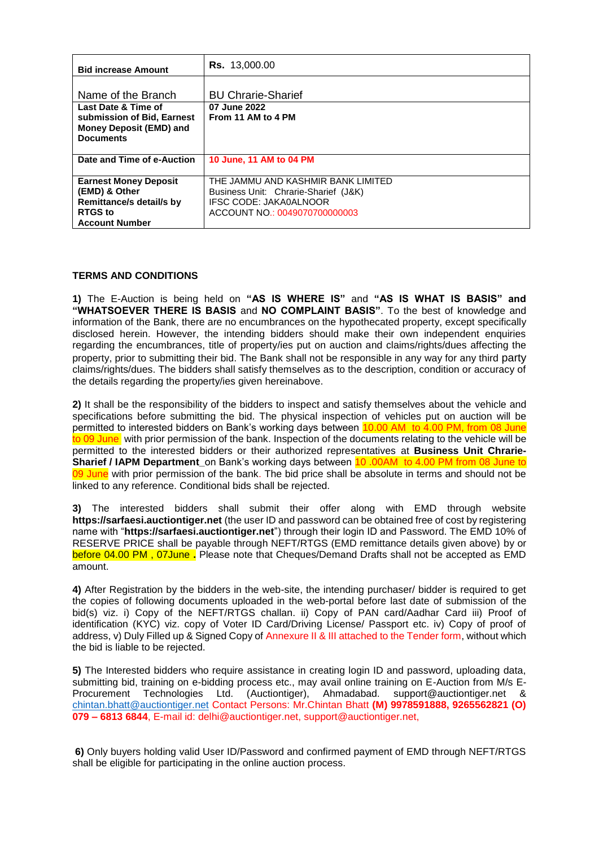| <b>Bid increase Amount</b>   | <b>Rs.</b> 13,000.00                 |
|------------------------------|--------------------------------------|
|                              |                                      |
| Name of the Branch           | <b>BU Chrarie-Sharief</b>            |
|                              |                                      |
| Last Date & Time of          | 07 June 2022                         |
| submission of Bid, Earnest   | From 11 AM to 4 PM                   |
| Money Deposit (EMD) and      |                                      |
| <b>Documents</b>             |                                      |
|                              |                                      |
|                              |                                      |
| Date and Time of e-Auction   | 10 June, 11 AM to 04 PM              |
|                              |                                      |
| <b>Earnest Money Deposit</b> | THE JAMMU AND KASHMIR BANK LIMITED   |
| (EMD) & Other                | Business Unit: Chrarie-Sharief (J&K) |
| Remittance/s detail/s by     | IFSC CODE: JAKA0ALNOOR               |
| <b>RTGS</b> to               | ACCOUNT NO.: 0049070700000003        |
| <b>Account Number</b>        |                                      |

## **TERMS AND CONDITIONS**

**1)** The E-Auction is being held on **"AS IS WHERE IS"** and **"AS IS WHAT IS BASIS" and "WHATSOEVER THERE IS BASIS** and **NO COMPLAINT BASIS"**. To the best of knowledge and information of the Bank, there are no encumbrances on the hypothecated property, except specifically disclosed herein. However, the intending bidders should make their own independent enquiries regarding the encumbrances, title of property/ies put on auction and claims/rights/dues affecting the property, prior to submitting their bid. The Bank shall not be responsible in any way for any third party claims/rights/dues. The bidders shall satisfy themselves as to the description, condition or accuracy of the details regarding the property/ies given hereinabove.

**2)** It shall be the responsibility of the bidders to inspect and satisfy themselves about the vehicle and specifications before submitting the bid. The physical inspection of vehicles put on auction will be permitted to interested bidders on Bank's working days between 10.00 AM to 4.00 PM, from 08 June to 09 June, with prior permission of the bank. Inspection of the documents relating to the vehicle will be permitted to the interested bidders or their authorized representatives at **Business Unit Chrarie-Sharief / IAPM Department\_**on Bank's working days between 10 .00AM to 4.00 PM from 08 June to 09 June with prior permission of the bank. The bid price shall be absolute in terms and should not be linked to any reference. Conditional bids shall be rejected.

**3)** The interested bidders shall submit their offer along with EMD through website **https://sarfaesi.auctiontiger.net** (the user ID and password can be obtained free of cost by registering name with "**https://sarfaesi.auctiontiger.net**") through their login ID and Password. The EMD 10% of RESERVE PRICE shall be payable through NEFT/RTGS (EMD remittance details given above) by or before 04.00 PM , 07June **.** Please note that Cheques/Demand Drafts shall not be accepted as EMD amount.

**4)** After Registration by the bidders in the web-site, the intending purchaser/ bidder is required to get the copies of following documents uploaded in the web-portal before last date of submission of the bid(s) viz. i) Copy of the NEFT/RTGS challan. ii) Copy of PAN card/Aadhar Card iii) Proof of identification (KYC) viz. copy of Voter ID Card/Driving License/ Passport etc. iv) Copy of proof of address, v) Duly Filled up & Signed Copy of Annexure II & III attached to the Tender form, without which the bid is liable to be rejected.

**5)** The Interested bidders who require assistance in creating login ID and password, uploading data, submitting bid, training on e-bidding process etc., may avail online training on E-Auction from M/s E-Procurement Technologies Ltd. (Auctiontiger), Ahmadabad. support@auctiontiger.net & [chintan.bhatt@auctiontiger.net](mailto:chintan.bhatt@auctiontiger.net) Contact Persons: Mr.Chintan Bhatt **(M) 9978591888, 9265562821 (O) 079 – 6813 6844**, E-mail id: delhi@auctiontiger.net, support@auctiontiger.net,

**6)** Only buyers holding valid User ID/Password and confirmed payment of EMD through NEFT/RTGS shall be eligible for participating in the online auction process.